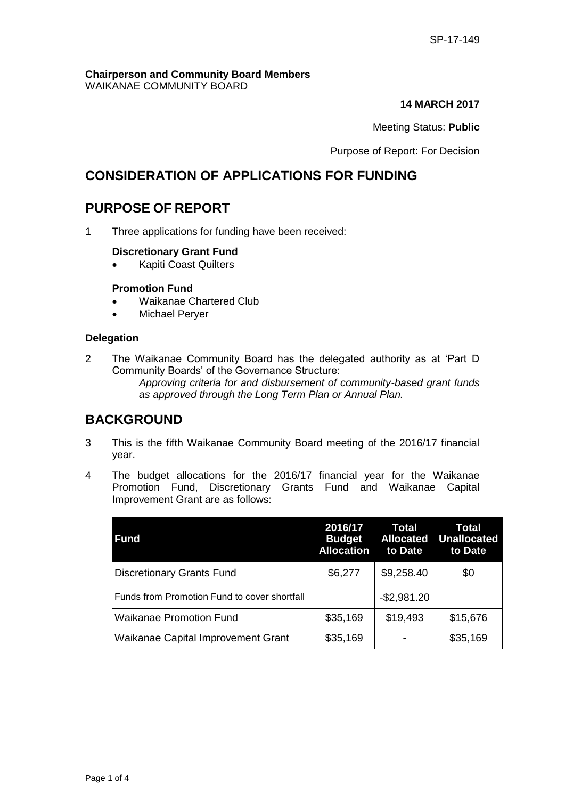#### **Chairperson and Community Board Members** WAIKANAE COMMUNITY BOARD

#### **14 MARCH 2017**

#### Meeting Status: **Public**

Purpose of Report: For Decision

## **CONSIDERATION OF APPLICATIONS FOR FUNDING**

# **PURPOSE OF REPORT**

1 Three applications for funding have been received:

#### **Discretionary Grant Fund**

Kapiti Coast Quilters

#### **Promotion Fund**

- Waikanae Chartered Club
- Michael Perver

#### **Delegation**

2 The Waikanae Community Board has the delegated authority as at 'Part D Community Boards' of the Governance Structure:

*Approving criteria for and disbursement of community-based grant funds as approved through the Long Term Plan or Annual Plan.* 

## **BACKGROUND**

- 3 This is the fifth Waikanae Community Board meeting of the 2016/17 financial year.
- 4 The budget allocations for the 2016/17 financial year for the Waikanae Promotion Fund, Discretionary Grants Fund and Waikanae Capital Improvement Grant are as follows:

| <b>Fund</b>                                  | 2016/17<br><b>Budget</b><br><b>Allocation</b> | Total<br><b>Allocated</b><br>to Date | Total<br><b>Unallocated</b><br>to Date |
|----------------------------------------------|-----------------------------------------------|--------------------------------------|----------------------------------------|
| <b>Discretionary Grants Fund</b>             | \$6,277                                       | \$9,258.40                           | \$0                                    |
| Funds from Promotion Fund to cover shortfall |                                               | $-$2,981.20$                         |                                        |
| <b>Waikanae Promotion Fund</b>               | \$35,169                                      | \$19,493                             | \$15,676                               |
| Waikanae Capital Improvement Grant           | \$35,169                                      |                                      | \$35,169                               |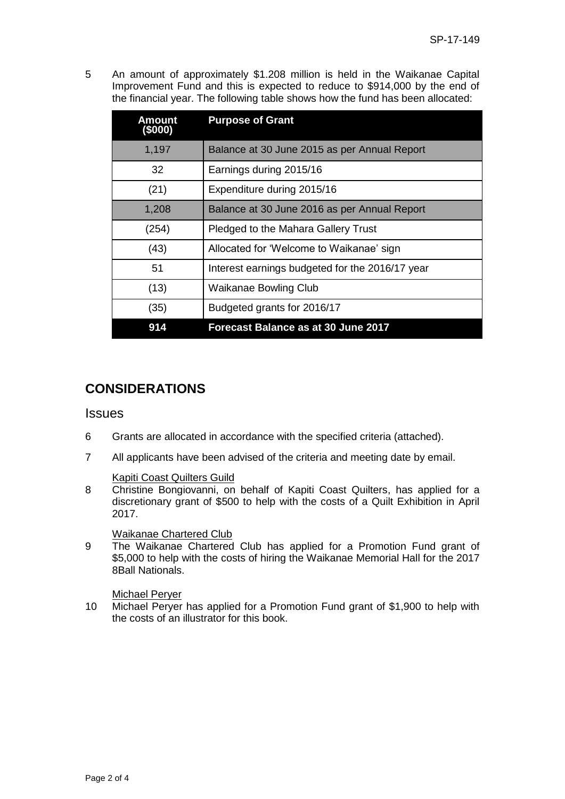5 An amount of approximately \$1.208 million is held in the Waikanae Capital Improvement Fund and this is expected to reduce to \$914,000 by the end of the financial year. The following table shows how the fund has been allocated:

| Amount<br>(\$000) | <b>Purpose of Grant</b>                         |
|-------------------|-------------------------------------------------|
| 1,197             | Balance at 30 June 2015 as per Annual Report    |
| 32                | Earnings during 2015/16                         |
| (21)              | Expenditure during 2015/16                      |
| 1,208             | Balance at 30 June 2016 as per Annual Report    |
| (254)             | Pledged to the Mahara Gallery Trust             |
| (43)              | Allocated for 'Welcome to Waikanae' sign        |
| 51                | Interest earnings budgeted for the 2016/17 year |
| (13)              | <b>Waikanae Bowling Club</b>                    |
| (35)              | Budgeted grants for 2016/17                     |
| 914               | <b>Forecast Balance as at 30 June 2017</b>      |

# **CONSIDERATIONS**

### **Issues**

- 6 Grants are allocated in accordance with the specified criteria (attached).
- 7 All applicants have been advised of the criteria and meeting date by email.

#### Kapiti Coast Quilters Guild

8 Christine Bongiovanni, on behalf of Kapiti Coast Quilters, has applied for a discretionary grant of \$500 to help with the costs of a Quilt Exhibition in April 2017.

#### Waikanae Chartered Club

9 The Waikanae Chartered Club has applied for a Promotion Fund grant of \$5,000 to help with the costs of hiring the Waikanae Memorial Hall for the 2017 8Ball Nationals.

#### Michael Peryer

10 Michael Peryer has applied for a Promotion Fund grant of \$1,900 to help with the costs of an illustrator for this book.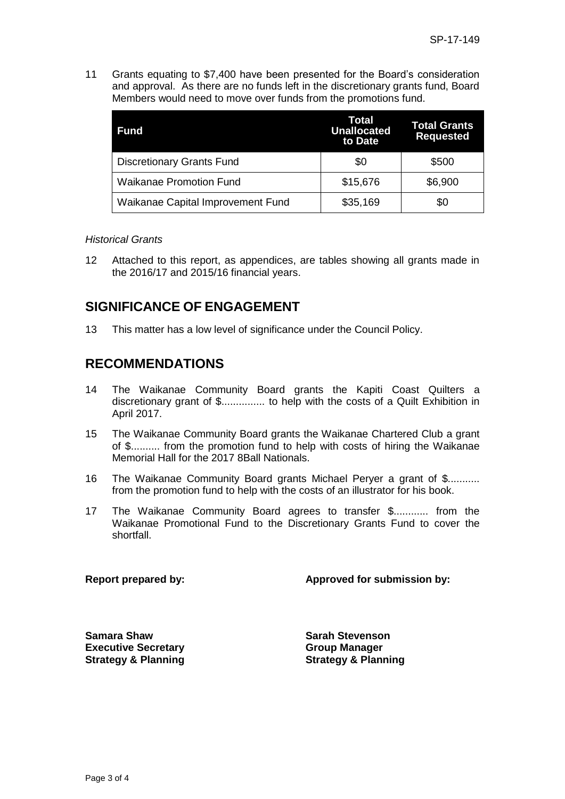11 Grants equating to \$7,400 have been presented for the Board's consideration and approval. As there are no funds left in the discretionary grants fund, Board Members would need to move over funds from the promotions fund.

| <b>Fund</b>                       | Total<br><b>Unallocated</b><br>to Date | <b>Total Grants</b><br><b>Requested</b> |
|-----------------------------------|----------------------------------------|-----------------------------------------|
| <b>Discretionary Grants Fund</b>  | \$0                                    | \$500                                   |
| <b>Waikanae Promotion Fund</b>    | \$15,676                               | \$6,900                                 |
| Waikanae Capital Improvement Fund | \$35,169                               | \$0                                     |

#### *Historical Grants*

12 Attached to this report, as appendices, are tables showing all grants made in the 2016/17 and 2015/16 financial years.

## **SIGNIFICANCE OF ENGAGEMENT**

13 This matter has a low level of significance under the Council Policy.

## **RECOMMENDATIONS**

- 14 The Waikanae Community Board grants the Kapiti Coast Quilters a discretionary grant of \$............... to help with the costs of a Quilt Exhibition in April 2017.
- 15 The Waikanae Community Board grants the Waikanae Chartered Club a grant of \$.......... from the promotion fund to help with costs of hiring the Waikanae Memorial Hall for the 2017 8Ball Nationals.
- 16 The Waikanae Community Board grants Michael Peryer a grant of \$........... from the promotion fund to help with the costs of an illustrator for his book.
- 17 The Waikanae Community Board agrees to transfer \$............ from the Waikanae Promotional Fund to the Discretionary Grants Fund to cover the shortfall.

**Report prepared by: Approved for submission by:**

**Samara Shaw Sarah Stevenson Executive Secretary Strategy & Planning**

**Group Manager Strategy & Planning**